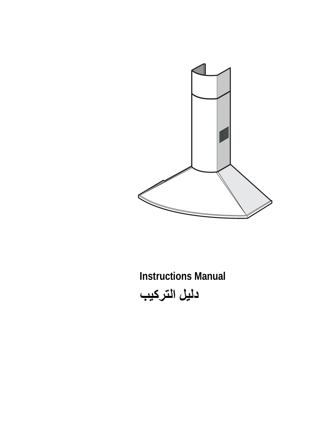

**Instructions Manual دليل الترآيب**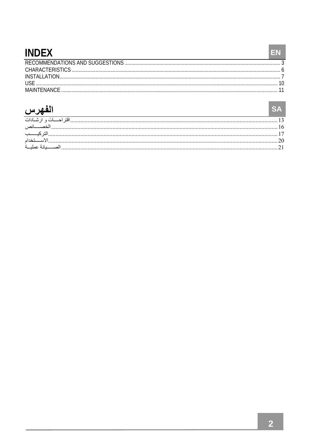## **INDFX**

| <b>IISE</b> |  |
|-------------|--|
|             |  |

## الفهرس

| الفهرس       |  |
|--------------|--|
|              |  |
|              |  |
|              |  |
|              |  |
| بانة عمليــة |  |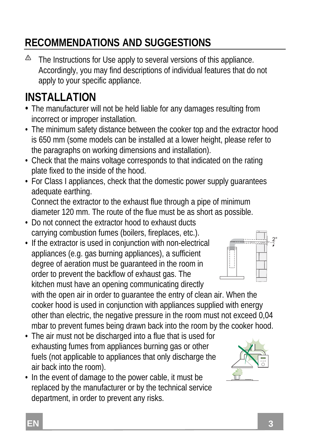## **RECOMMENDATIONS AND SUGGESTIONS**

⚠ The Instructions for Use apply to several versions of this appliance. Accordingly, you may find descriptions of individual features that do not apply to your specific appliance.

## **INSTALLATION**

- The manufacturer will not be held liable for any damages resulting from incorrect or improper installation.
- The minimum safety distance between the cooker top and the extractor hood is 650 mm (some models can be installed at a lower height, please refer to the paragraphs on working dimensions and installation).
- Check that the mains voltage corresponds to that indicated on the rating plate fixed to the inside of the hood.
- For Class I appliances, check that the domestic power supply guarantees adequate earthing.

Connect the extractor to the exhaust flue through a pipe of minimum diameter 120 mm. The route of the flue must be as short as possible.

- Do not connect the extractor hood to exhaust ducts carrying combustion fumes (boilers, fireplaces, etc.).
- If the extractor is used in conjunction with non-electrical appliances (e.g. gas burning appliances), a sufficient degree of aeration must be guaranteed in the room in order to prevent the backflow of exhaust gas. The kitchen must have an opening communicating directly



with the open air in order to guarantee the entry of clean air. When the cooker hood is used in conjunction with appliances supplied with energy other than electric, the negative pressure in the room must not exceed 0,04 mbar to prevent fumes being drawn back into the room by the cooker hood.

- The air must not be discharged into a flue that is used for exhausting fumes from appliances burning gas or other fuels (not applicable to appliances that only discharge the air back into the room).
- In the event of damage to the power cable, it must be replaced by the manufacturer or by the technical service department, in order to prevent any risks.

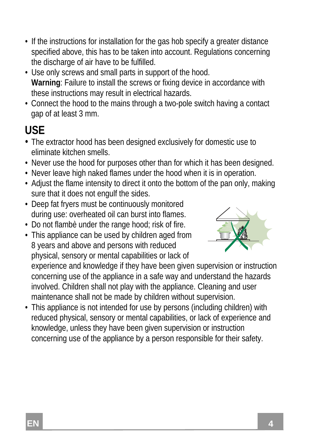- If the instructions for installation for the gas hob specify a greater distance specified above, this has to be taken into account. Regulations concerning the discharge of air have to be fulfilled.
- Use only screws and small parts in support of the hood. **Warning**: Failure to install the screws or fixing device in accordance with these instructions may result in electrical hazards.
- Connect the hood to the mains through a two-pole switch having a contact gap of at least 3 mm.

## **USE**

- The extractor hood has been designed exclusively for domestic use to eliminate kitchen smells.
- Never use the hood for purposes other than for which it has been designed.
- Never leave high naked flames under the hood when it is in operation.
- Adjust the flame intensity to direct it onto the bottom of the pan only, making sure that it does not engulf the sides.
- Deep fat fryers must be continuously monitored during use: overheated oil can burst into flames.
- Do not flambè under the range hood; risk of fire.
- This appliance can be used by children aged from 8 years and above and persons with reduced

physical, sensory or mental capabilities or lack of

experience and knowledge if they have been given supervision or instruction concerning use of the appliance in a safe way and understand the hazards involved. Children shall not play with the appliance. Cleaning and user maintenance shall not be made by children without supervision.

• This appliance is not intended for use by persons (including children) with reduced physical, sensory or mental capabilities, or lack of experience and knowledge, unless they have been given supervision or instruction concerning use of the appliance by a person responsible for their safety.

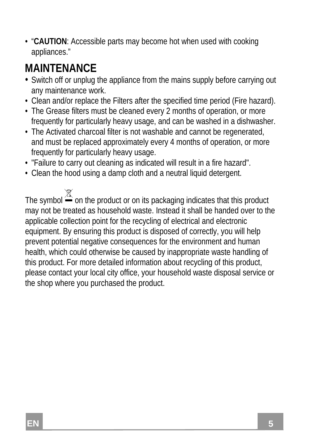• "**CAUTION**: Accessible parts may become hot when used with cooking appliances."

## **MAINTENANCE**

- Switch off or unplug the appliance from the mains supply before carrying out any maintenance work.
- Clean and/or replace the Filters after the specified time period (Fire hazard).
- The Grease filters must be cleaned every 2 months of operation, or more frequently for particularly heavy usage, and can be washed in a dishwasher.
- The Activated charcoal filter is not washable and cannot be regenerated, and must be replaced approximately every 4 months of operation, or more frequently for particularly heavy usage.
- "Failure to carry out cleaning as indicated will result in a fire hazard".
- Clean the hood using a damp cloth and a neutral liquid detergent.

The symbol  $\overline{\mathbb{X}}$  on the product or on its packaging indicates that this product may not be treated as household waste. Instead it shall be handed over to the applicable collection point for the recycling of electrical and electronic equipment. By ensuring this product is disposed of correctly, you will help prevent potential negative consequences for the environment and human health, which could otherwise be caused by inappropriate waste handling of this product. For more detailed information about recycling of this product, please contact your local city office, your household waste disposal service or the shop where you purchased the product.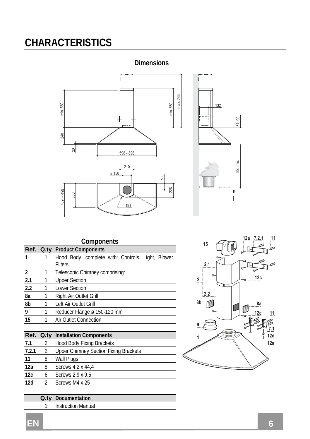## **CHARACTERISTICS**





| Components |   |                                                    |  |  |  |  |
|------------|---|----------------------------------------------------|--|--|--|--|
|            |   | Ref. Q.ty Product Components                       |  |  |  |  |
|            |   | Hood Body, complete with: Controls, Light, Blower, |  |  |  |  |
|            |   | <b>Filters</b>                                     |  |  |  |  |
| 2          | 1 | Telescopic Chimney comprising:                     |  |  |  |  |
| 2.1        | 1 | <b>Upper Section</b>                               |  |  |  |  |
| 2.2        | 1 | <b>Lower Section</b>                               |  |  |  |  |
| 8a         | 1 | Right Air Outlet Grill                             |  |  |  |  |
| 8b         |   | Left Air Outlet Grill                              |  |  |  |  |
| 9          |   | Reducer Flange ø 150-120 mm                        |  |  |  |  |
| 15         | 1 | Air Outlet Connection                              |  |  |  |  |
|            |   |                                                    |  |  |  |  |
|            |   | Ref. Q.ty Installation Components                  |  |  |  |  |
| 7.1        | 2 | <b>Hood Body Fixing Brackets</b>                   |  |  |  |  |

| 7.2.1 |   | Upper Chimney Section Fixing Brackets |
|-------|---|---------------------------------------|
| 11    | 8 | Wall Plugs                            |
| 12a   |   | Screws 4.2 x 44.4                     |
| 12c   |   | Screws 2.9 x 9.5                      |
| 12d   |   | Screws M4 x 25                        |
|       |   |                                       |

- **Q.ty Documentation** 
	- 1 Instruction Manual

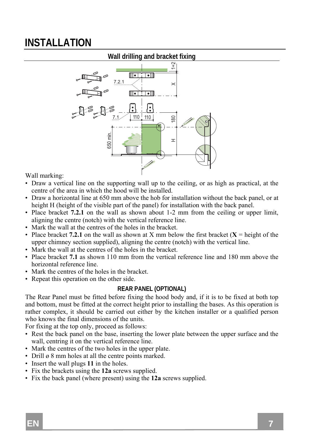## **INSTALLATION**



Wall marking:

- Draw a vertical line on the supporting wall up to the ceiling, or as high as practical, at the centre of the area in which the hood will be installed.
- Draw a horizontal line at 650 mm above the hob for installation without the back panel, or at height H (height of the visible part of the panel) for installation with the back panel.
- Place bracket **7.2.1** on the wall as shown about 1-2 mm from the ceiling or upper limit, aligning the centre (notch) with the vertical reference line.
- Mark the wall at the centres of the holes in the bracket.
- Place bracket **7.2.1** on the wall as shown at X mm below the first bracket  $(X = \text{height of the})$ upper chimney section supplied), aligning the centre (notch) with the vertical line.
- Mark the wall at the centres of the holes in the bracket.
- Place bracket **7.1** as shown 110 mm from the vertical reference line and 180 mm above the horizontal reference line.
- Mark the centres of the holes in the bracket.
- Repeat this operation on the other side.

#### **REAR PANEL (OPTIONAL)**

The Rear Panel must be fitted before fixing the hood body and, if it is to be fixed at both top and bottom, must be fitted at the correct height prior to installing the bases. As this operation is rather complex, it should be carried out either by the kitchen installer or a qualified person who knows the final dimensions of the units.

For fixing at the top only, proceed as follows:

- Rest the back panel on the base, inserting the lower plate between the upper surface and the wall, centring it on the vertical reference line.
- Mark the centres of the two holes in the upper plate.
- Drill ø 8 mm holes at all the centre points marked.
- Insert the wall plugs **11** in the holes.
- Fix the brackets using the **12a** screws supplied.
- Fix the back panel (where present) using the **12a** screws supplied.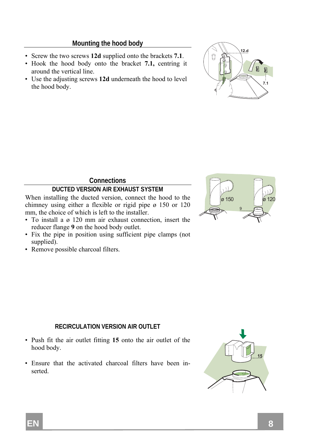#### **Mounting the hood body**

- Screw the two screws **12d** supplied onto the brackets **7.1**.
- Hook the hood body onto the bracket **7.1,** centring it around the vertical line.
- Use the adjusting screws **12d** underneath the hood to level the hood body.



 $\alpha$  150

 $0 \qquad \qquad$  12

9

 $\overline{0}$ 

#### **Connections**

#### **DUCTED VERSION AIR EXHAUST SYSTEM**

When installing the ducted version, connect the hood to the chimney using either a flexible or rigid pipe ø 150 or 120 mm, the choice of which is left to the installer.

- To install a ø 120 mm air exhaust connection, insert the reducer flange **9** on the hood body outlet.
- Fix the pipe in position using sufficient pipe clamps (not supplied).
- Remove possible charcoal filters.

#### **RECIRCULATION VERSION AIR OUTLET**

- Push fit the air outlet fitting **15** onto the air outlet of the hood body.
- Ensure that the activated charcoal filters have been inserted.

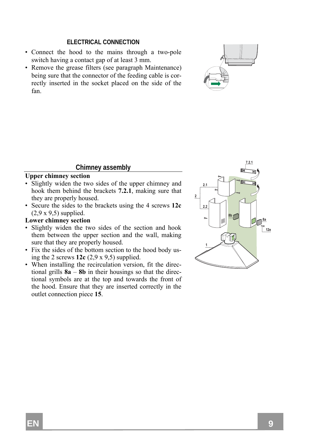#### **ELECTRICAL CONNECTION**

- Connect the hood to the mains through a two-pole switch having a contact gap of at least 3 mm.
- Remove the grease filters (see paragraph Maintenance) being sure that the connector of the feeding cable is correctly inserted in the socket placed on the side of the fan.



#### **Chimney assembly**

#### **Upper chimney section**

- Slightly widen the two sides of the upper chimney and hook them behind the brackets **7.2.1**, making sure that they are properly housed.
- Secure the sides to the brackets using the 4 screws **12c** (2,9 x 9,5) supplied.

#### **Lower chimney section**

- Slightly widen the two sides of the section and hook them between the upper section and the wall, making sure that they are properly housed.
- Fix the sides of the bottom section to the hood body using the 2 screws **12c** (2,9 x 9,5) supplied.
- When installing the recirculation version, fit the directional grills **8a** – **8b** in their housings so that the directional symbols are at the top and towards the front of the hood. Ensure that they are inserted correctly in the outlet connection piece **15**.

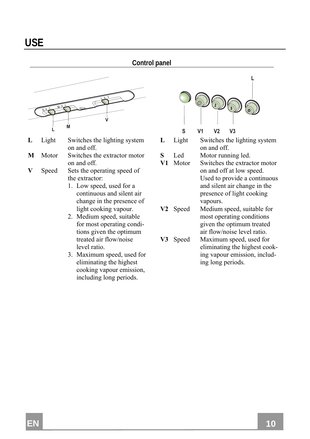#### **Control panel**



- **L** Light Switches the lighting system on and off.
- **M** Motor Switches the extractor motor on and off.
- **V** Speed Sets the operating speed of the extractor:
	- 1. Low speed, used for a continuous and silent air change in the presence of light cooking vapour.
	- 2. Medium speed, suitable for most operating conditions given the optimum treated air flow/noise level ratio.
	- 3. Maximum speed, used for eliminating the highest cooking vapour emission, including long periods.



 **-** $V2$   $V3$ 

- **L** Light Switches the lighting system on and off.
- **S** Led Motor running led.
- **V1** Motor Switches the extractor motor on and off at low speed. Used to provide a continuous and silent air change in the presence of light cooking vapours.
- **V2** Speed Medium speed, suitable for most operating conditions given the optimum treated air flow/noise level ratio.
- **V3** Speed Maximum speed, used for eliminating the highest cooking vapour emission, including long periods.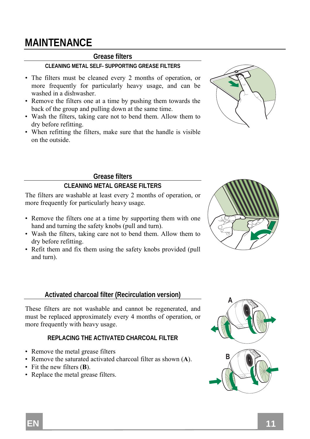## **MAINTENANCE**

#### **Grease filters**

#### **CLEANING METAL SELF- SUPPORTING GREASE FILTERS**

- The filters must be cleaned every 2 months of operation, or more frequently for particularly heavy usage, and can be washed in a dishwasher.
- Remove the filters one at a time by pushing them towards the back of the group and pulling down at the same time.
- Wash the filters, taking care not to bend them. Allow them to dry before refitting.
- When refitting the filters, make sure that the handle is visible on the outside.



#### **Grease filters**

#### **CLEANING METAL GREASE FILTERS**

The filters are washable at least every 2 months of operation, or more frequently for particularly heavy usage.

- Remove the filters one at a time by supporting them with one hand and turning the safety knobs (pull and turn).
- Wash the filters, taking care not to bend them. Allow them to dry before refitting.
- Refit them and fix them using the safety knobs provided (pull and turn).

#### **Activated charcoal filter (Recirculation version)**

These filters are not washable and cannot be regenerated, and must be replaced approximately every 4 months of operation, or more frequently with heavy usage.

#### **REPLACING THE ACTIVATED CHARCOAL FILTER**

- Remove the metal grease filters
- Remove the saturated activated charcoal filter as shown (**A**).
- Fit the new filters (**B**).
- Replace the metal grease filters.



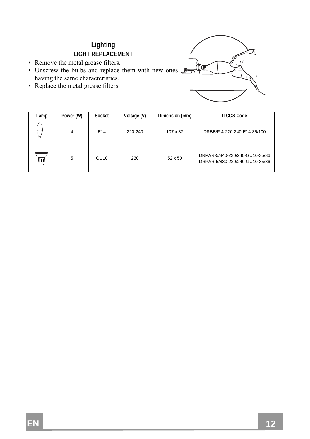## **Lighting**

### **LIGHT REPLACEMENT**

- Remove the metal grease filters.
- Unscrew the bulbs and replace them with new ones  $\frac{1}{\sqrt{2}}$ having the same characteristics.
- Replace the metal grease filters.



| Lamp | Power (W) | Socket          | Voltage (V) | Dimension (mm) | <b>ILCOS Code</b>                                                |
|------|-----------|-----------------|-------------|----------------|------------------------------------------------------------------|
| 昌    | 4         | E <sub>14</sub> | 220-240     | 107 x 37       | DRBB/F-4-220-240-E14-35/100                                      |
| ₩    | 5         | GU10            | 230         | 52 x 50        | DRPAR-5/840-220/240-GU10-35/36<br>DRPAR-5/830-220/240-GU10-35/36 |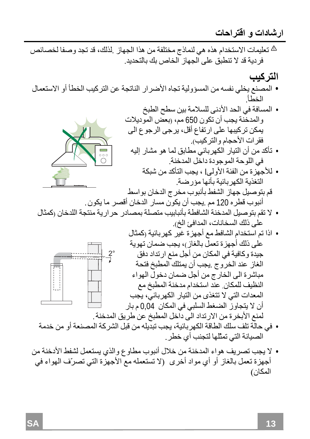**ارشادات و اقتراحات**

- تعليمات الاستخدام هذه هي لنماذج مختلفة من هذا الجهاز .لذلك، قد تجد وصفا لخصائص فردية قد لا تنطبق على الجهاز الخاص بك بالتحديد.
- التر <u>كي</u>ب • المصنع يخلي نفسه من المسؤولية تجاه الأضرار الناتجة عن التركيب الخطأ أو الاستعمال الخطأ.

• المسافة في الحد الأدنى للسلامة بين سطح الطبخ والمدخنة يجب أن تكون 650 مم، (بعض الموديلات يمكن ترآيبها على ارتفاع أقل، يرجى الرجوع الى فقرات الأحجام والترآيب). • تأآد من أن التيار الكهربائي مطابق لما هو مشار إليه في اللوحة الموجودة داخل المدخنة. • للأجهزة من الفئة الأولىI ، يجب التأآد من شبكة التغذية الكهربائية بأنها مؤرضة.

- السُفط بالبوب مخر ج الدخان بو أنبوب قطره 120 مم .يجب أن يكون مسار الدخان أقصر ما يكون. • لا تقم بتوصيل المدخنة الشافطة بأنبابيب متصلة بمصادر حرارية منتجة اللدخان (آمثال
- على ذلك السخانات، المدافئ الخ).
- اذا تم استخدام الشافط مع أجهزة غير آهربائية (آمثال على ذلك أجهزة تعمل بالغاز)، يجب ضمان تهوية جيدة وكافية في المكان من أجل منع ارتداد دفق الغاز عند الخروج .يجب أن يمتلك المطبخ فتحة مباشرة الى الخارج من أجل ضمان دخول الهواء النظيف للمكان. عند استخدام مدخنة المطبخ مع المعدات التي لا تتغذى من التيار الكهربائي، يجب أن لا يتجاوز الضغط السلبي في المكان 0,04 م بار لمنع الأبخرة من الارتداد الى داخل المطبخ عن طريق المدخنة.  $\overline{2}$  $\circ$
- في حالة تلف سلك الطاقة الكهربائية، يجب تبديله من قبل الشرآة المصنعة أو من خدمة الصيانة التي تمثّلها لتجنب أي خطر.
- **•** لا يجب تصريف هواء المدخنة من خلال أنبوب مطاوع والذي يستعمل لشفط الأدخنة من أجهزة تعمل بالغاز أو أي مواد أخرى (لا تستعمله مع الأجهزة التي تصرّف الهواء في المكان)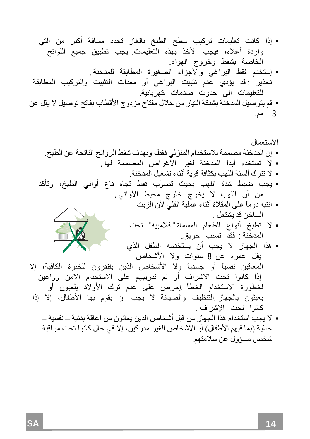• إذا آانت تعليمات ترآيب سطح الطبخ بالغاز تحدد مسافة أآبر من التي واردة أعلاه، فيجب الأخذ بهذه التعليمات. يجب تطبيق جميع اللوائح الخاصة بشفط وخروج الهواء. • إستخدم فقط البراغي والأجزاء الصغيرة المطابقة للمدخنة . تحذير : قد يؤدي عدم تثبيت البراغي أو معدات التثبيت والترآيب المطابقة للتعليمات الى حدوث صدمات آهربائية . • قم بتوصيل المدخنة بشبكة التيار من خلال مفتاح مزدوج الأقطاب بفاتح توصيل لا يقل عن 3 مم.

الاستعمال • إن المدخنة مصممة للاستخدام المنزلي فقط، وبهدف شفط الروائح الناتجة عن الطبخ . • لا تستخدم أبداً المدخنة لغير الأغراض المصممة لها . • لا تترك ألسنة اللهب بكثافة قوية أثناء تشغيل المدخنة . • يجب ضبط شدة اللهب بحيث تصوّب فقط تجاه قاع أواني الطبخ، وتأآد من أن اللهب لا يخرج خارج محيط الأواني . • انتبه دوماً على المقلاة أثناء عملية القلي لأن الزيت الساخن قد يشتعل . • لا تطبخ أنواع الطعام المسماة " فلامبيه" تحت المدخنة : فقد تسبب حريق. • هذا الجهاز لا يجب أن يستخدمه الطفل الذي يقل عمره عن 8 سنوات ولا الأشخاص المعاقين نفسياً أو جسدياً ولا الأشخاص الذين يفتقرون للخبرة الكافية، إلا إذا آانوا تحت الاشراف أو تم تدريبهم على الاستخدام الآمن وواعين لخطورة الاستخدام الخطأ .إحرص على عدم ترك الأولاد يلعبون أو يعبثون بالجهاز .التنظيف والصيانة لا يجب أن يقوم بها الأطفال، إلا إذا آانوا تحت الإشراف . • لا يجب استخدام هذا الجهاز من قبل أشخاص الذين يعانون من إعاقة بدنية – – نفسية حسّية (بما فيهم الأطفال) أو الأشخاص الغير مدرآين، إلا في حال آانوا تحت مراقبة شخص مسؤول عن سلامتهم.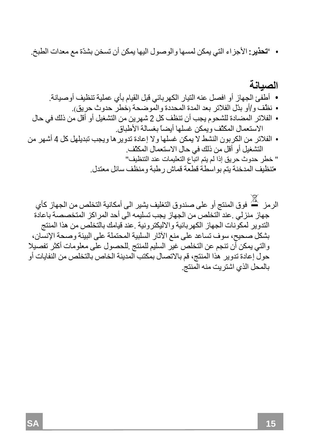• "**تحذير:** الأجزاء التي يمكن لمسها والوصول اليها يمكن أن تسخن بشدّة مع معدات الطبخ.

• نظّف <sup>و</sup>/أو بدّل الفلاتر بعد المدة المحددة والموضحة (خطر حدوث حريق). • أطفئ الجهاز أو افصل عنه التيار الكهربائي قبل القيام بأي عملية تنظيف أوصيانة. **الصيانة** • الفلاتر المضادة للشحوم يجب أن تنظف آل 2 شهرين من التشغيل أو أقل من ذلك في حال الاستعمال المكثّف ويمكن غسلها أيضاً بغسالة الأطباق. • الفلاتر من الكربون النشط لا يمكن غسلها ولا إعادة تدويرها ويجب تبديلهل آل 4 أشهر من التشغيل أو أقل من ذلك في حال الاستعمال المكثّف. " خطر حدوث حريق إذا لم يتم اتباع التعليمات عند التنظيف " •تنظيف المدخنة يتم بواسطة قطعة قماش رطبة ومنظف سائل معتدل.

الرمز  $\mathbb X$  فوق المنتج أو على صندوق التغليف يشير الى أمكانية التخلص من الجهاز كأي جهاز منزلي .عند التخلص من الجهاز يجب تسليمه الى أحد المراكز المتخصصة باعادة التدوير لمكونات الجهاز الكهربائية والاليكترونية .عند قيامك بالتخلص من هذا المنتج بشكل صحيح، سوف تساعد على منع الآثار السلبية المحتملة على البيئة وصحة الإنسان، والتي يمكن أن تنجم عن التخلص غير السليم للمنتج .للحصول على معلومات أآثر تفصيلا حول إعادة تدوير هذا المنتج، قم بالاتصال بمكتب المدينة الخاص بالتخلص من النفايات أو بالمحل الذي اشتريت منه المنتج.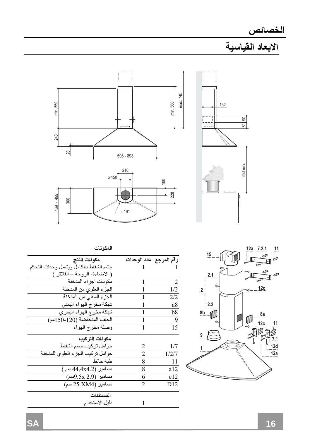



|                |                        | المكونات                               |
|----------------|------------------------|----------------------------------------|
|                | رقم المرجع عدد الوحدات | مكونات النتج                           |
|                |                        | جشم الشفاط بالكامل ويشمل وحدات التحكم  |
|                |                        | ( الاضاءة- الروحة – الفلاتر )          |
| $\overline{2}$ |                        | مكو نات اجز اء المدخنة                 |
| 1/2            |                        | الجزء العلوي من المدخنة                |
| 2/2            |                        | الجزء السفلي من المدخنة                |
| a8             |                        | شبكة مخرج الهواء اليمنى                |
| b8             |                        | شبكة مخرج ا <mark>ل</mark> هواء اليسري |
| 9              |                        | الحاف المنخفضة (120-50 1م)             |
| 15             |                        | وصلة مخرج الهواء                       |
|                |                        | مكونات التركيب                         |
| 1/7            | 2                      | حو امل تركيب جسم الشفاط                |
| 1/2/7          | $\mathfrak{D}$         | حوامل تركيب الجزء العلوى للمدخنة       |
| 11             | 8                      | طبة حائط                               |
| a12            | 8                      | مسامير (44.4x4.2 سم)                   |
| c12            | 6                      | مسامير (2.9 9.5x 9سم)                  |
| D12            | $\mathfrak{D}$         | مسامير (25 XM4 سم)                     |
|                |                        | المستندات                              |
|                | 1                      | دليل الاستخدام                         |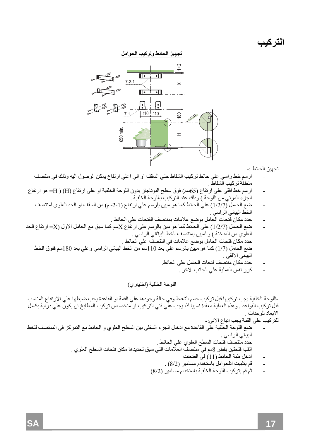

تجهيز الحائط :-

- ارسم خط راسي علي حائط ترآيب الشفاط حتي السقف او الي اعلي ارتفاع يمكن الوصول اليه وذلك في منتصف منطقة تركيب الشفاط .
- ارسم خط افقي علي ارتفاع 65( سم) فوق سطح البوتاجاز بدون اللوحة الخلفية او علي ارتفاع H ) ( )H =هو ارتفاع الجزء المرئي من اللوحة ) وذلك عند التركيب باللوحة الخلفية .
	- ضع الحامل 7/2/1( ) علي الحائط آما هو مبين بلرسم علي ارتفاع 1-2( سم) من السقف او الحد العلوي لمنتصف الخط البياني الراسي .
		- حدد مكان فتحات الحامل بوضع علامات بمنتصف الفتحات علي الحائط .
- ضع الحامل 7/2/1( ) علي الحائط آما هو مبن بالرسم علي ارتفاع Xسم آما سبق مع الحامل الاول X = )ارتفاع الحد العلوي من المدخنة ) والمبين بمنتصف الخط البيثاني الراسي .
	- حدد مكان فتحات الحامل بوضع علامات في النتصف علي الحائط .
	- ضع الحامل 7/1( ) آما هو مبين بالرسم علي بعد 110سم من الخط البياني الراسي وعلي بعد 180سم قفوق الخط البياني الافقي .
		- حدد مكان منتصف فتحات الحامل علي الحائط.
			- آرر نفس العملية علي الجانب الاخر .

اللوحة الخلفية (اختياري)

-اللوحة الخلفية يجب تركيبها قبل تركيب جسم الشفاط وفي حالة وجودها علي القمة او القاعدة يجب ضبطها علي الارتفاع المناسب<br>قبل تركيب القواعد <sub>.</sub> وهذه العملية معقدة نسبيا لذا يجب علي فني التركيب او متخصص تركيب المطابخ ان يكون عل الابعاد للوحدات .

للتركيب على القمة يجب اتباع الاتي:-

- ضع اللوحة الخلفية علي القاعدة مع ادخال الجزء السفلي بين السطح العلوي و الحائط مع التمرآز في المنتصف للخط البياني الراسي .
	- حدد منتصف فتحات السطح العلوي علي الحائط .
	- اثقب فتحتين بقطر 8مم في منتصف العلامات التي سبق تحديدها مكان فتحات السطح العلوي .
		- ادخل طبة الحائط (11) في الفتحات
		- قم بتثبيت اتلحوامل باستخدام مسامير 2/8( ) .
		- ثم قم بتركيب اللوحة الخلفية باسنخدام مسامير (8/2)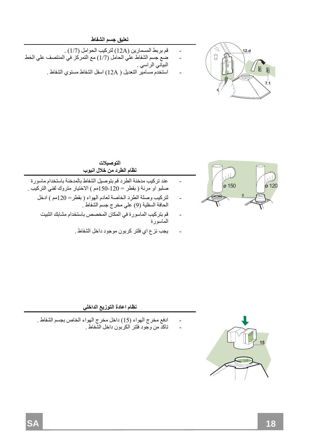

#### **تعليق جسم الشفاط**

- قم بربط المسمارين A12 ( )لترآيب الحوامل 7/1( ) .
- ضع جسم الشفاط علي الحامل 7/1( ) مع التمرآز في المنتصف علي الخط البياني الراسي .
	- استخدم مسامير التعديل ( A12 (اسفل الشفاط مستوي الشفاط .



#### **التوصيلات نظام الطرد من خلال انبوب**

- عند تركيب مدخنة الطرد قم بتوصيل الشفاط بالمدخنة باستخدام ماسورة صلبو او مرنة ( بقطر = 120-150م ) الاختيار متروك لفني التركيب .
	- لترآيب وصلة الطرد الخاصة لعادم الهواء ( بقطر= 120مم ) ادخل الحافة السفلية 9( ) علي مخرج جسم الشفاط .
		- قم بترآيب الماسورة في المكان المخصص باستخدام مشابك اتثبيت الماسورة
			- يجب نزع اي فلتر كربون موجود داخل الشفاط .



- ادفع مخرج الهواء 15( ) داخل مخرج الهواء الخاص بجسم الشفاط .
	- تاآد من وجود فلتر الكربون داخل الشفاط .

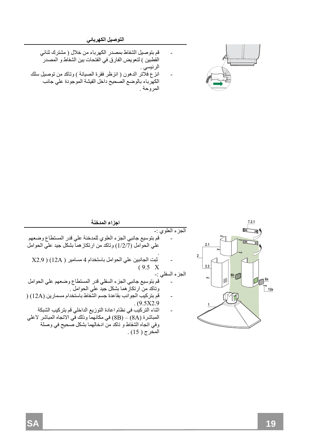**التوصيل الكهربائي**



- قم بتوصيل الشفاط بمصدر الكهرباء من خلال ( مشترك ثنائي القطبين ) لتعويض الفارق في الفتحات بين الشفاط و المصدر الرئيسي . انز ع فلَّاتر الدهون ( انز ظر فقر ة الصيانة ) و تاكد من توصيل سلك
- الكهرباء بالوضع الصحيح داخل الفيشة الموجودة علي جانب المروحة .

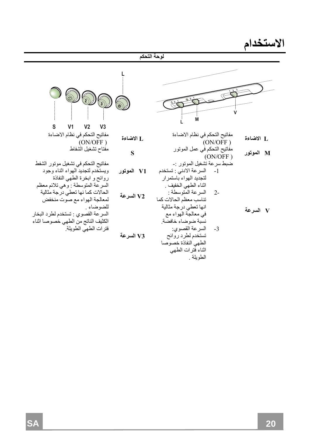**الاستخدام**

|                                                                                                                   |              | لوحة التحكم                                                                                                                                     |           |
|-------------------------------------------------------------------------------------------------------------------|--------------|-------------------------------------------------------------------------------------------------------------------------------------------------|-----------|
| s<br>V <sub>1</sub><br>V <sub>2</sub><br>V <sub>3</sub>                                                           |              |                                                                                                                                                 |           |
| مفاتيح التحكم في نظام الاضاءة<br>(ON/OFF)                                                                         | .J الاضاءة   | مفاتيح التحكم في نظام الاضاءة<br>(ON/OFF)                                                                                                       | J الاضاءة |
| مفتاح تشغيل الشفاط                                                                                                | S            | مفاتيح التحكم في عمل الموتور<br>(ON/OFF)                                                                                                        | M الموتور |
| مفاتيح التحكم في تشغيل موتور الشفط<br>ويستخدم لتجديد الهواء اثناء وجود<br>روائح و ابخرة الطهي النفاذة             | V1   الموتور | ضبط سر عة تشغيل الموتور :-<br>السرعة الادني : تستخدم<br>$-1$<br>لتجديد الهواء باستمر ار                                                         |           |
| السرعة المتوسطة : وهي تلائم معظم<br>الحالات كما نها تعطي درجة مثالية<br>لمعالجة الهواء مع صوت منخفض<br>للضو ضاء . | V2 السرعة    | اثناء الطهي الخفيف .<br>السر عة المتوسطة :<br>$2 -$<br>تناسب معظم الحالات كما<br>انها تعطي درجة مثالية                                          |           |
| السرعة القصوي : تستخدم لطرد البخار<br>الكثيف الناتج من الطهي خصوصا اثناء<br>فترات الطهي الطويلة                   | V3 السرعة    | في معالجة الهواء مع<br>نسبة ضوضاء خافضة<br>السرعة القصوي:<br>$-3$<br>تستخدم لطرد روائح<br>الطهى النفاذة خصوصا<br>اثناء فترات الطهى<br>الطويلة . | V السرعة  |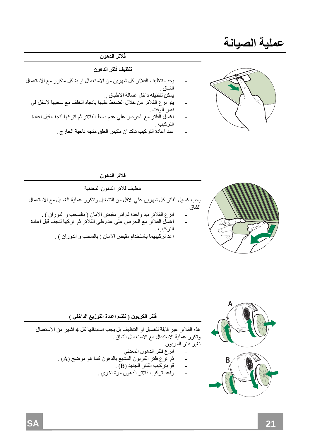## **عملية الصيانة**

#### **فلاتر الدهون**

#### **تنظيف فلتر الدهون**

- يجب تنظيف الفلاتر آل شهرين من الاستعمال او بشكل متكرر مع الاستعمال الشاق .
	- يمكن تنظيفه داخل غسالة الاطباق , .
	- يتو نزع الفلاتر من خلال الضغط عليها باتجاه الخلف مع سحبها لاسفل في نفس الوقت .
	- اغسل الفلتر مع الحرص على عدم صط الفلاتر ثم اتركها لتجف قبل اعادة التركيب .
		- عند اعادة التركيب تاكد ان مكبس الغلق متجه ناحية الخارج .



# تنظيف فلاتر الدهون المعدنية

**فلاتر الدهون**

يجب غسيل الفلتر كل شهرين علي الاقل من التشغيل وتتكرر عملية الغسيل مع الاستعمال الشاق .

- انزع الفلاتر بيد واحدة ثم ادر مقبض الامان ( بالسحب و الدوران ) .
- اغسل الفلاتر مع الحرص على عدم طي الفلاتر ثم اتركها لتجف قبل اعادة التر كبب .
	- اعد ترآيبهما باستخدام مقبض الامان ( بالسحب و الدوران ) .



#### **فلتر الكربون ( نظام اعادة التوزيع الداخلي )**

هذه الفلاتر غير قابلة للغسيل او التنظيف بل يجب استبدالها كل 4 اشهر من الاستعمال وتكرر عملية الاستبدال مع الاستعمال الشاق . تغير فلتر المربون

- انزع فلتر الدهون المعدني
- ثم انزع فلتر الكربون المشبع بالدهون آما هو موضح A ( ).
	- قو بترآيب الفلتر الجديد B ( ).
	- واعد ترآيب فلاتر الدهون مرة اخري .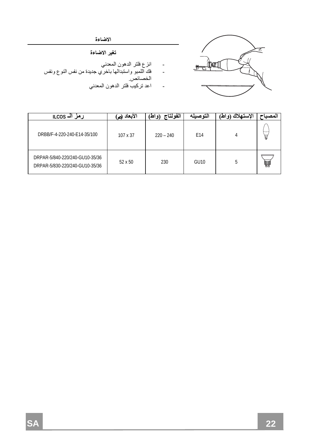

**الاضاءة** 

#### **تغير الاضاءة**

- انزع فلتر الدهون المعدني
- فك اللمبو واستبدالها باخري جديدة من نفس النوع ونفس الخصائص .
	- اعد ترآيب فلتر الدهون المعدني

| ارمز الــ ILCOS                                                  | الأبعاد<br>(ص | الفولتاج<br>۱۵۱ هغ | الته صىله        | 'لاستعلاك<br>۱۵ اط | المصدا |
|------------------------------------------------------------------|---------------|--------------------|------------------|--------------------|--------|
| DRBB/F-4-220-240-E14-35/100                                      | 107 x 37      | $220 - 240$        | E14              |                    | 且      |
| DRPAR-5/840-220/240-GU10-35/36<br>DRPAR-5/830-220/240-GU10-35/36 | 52 x 50       | 230                | GU <sub>10</sub> | 5                  | ₩      |